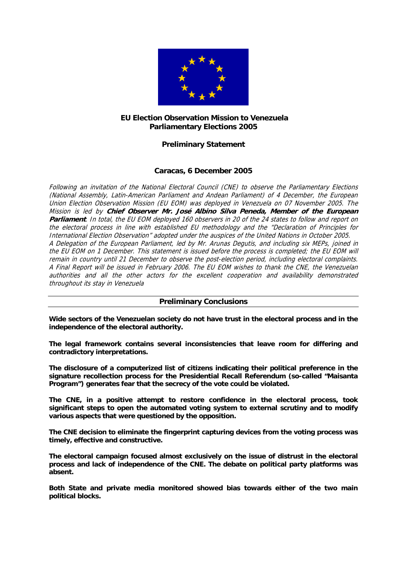

# **EU Election Observation Mission to Venezuela Parliamentary Elections 2005**

# **Preliminary Statement**

# **Caracas, 6 December 2005**

Following an invitation of the National Electoral Council (CNE) to observe the Parliamentary Elections (National Assembly, Latin-American Parliament and Andean Parliament) of 4 December, the European Union Election Observation Mission (EU EOM) was deployed in Venezuela on 07 November 2005. The Mission is led by **Chief Observer Mr. José Albino Silva Peneda, Member of the European Parliament**. In total, the EU EOM deployed 160 observers in 20 of the 24 states to follow and report on the electoral process in line with established EU methodology and the "Declaration of Principles for International Election Observation" adopted under the auspices of the United Nations in October 2005. A Delegation of the European Parliament, led by Mr. Arunas Degutis, and including six MEPs, joined in the EU EOM on 1 December. This statement is issued before the process is completed; the EU EOM will remain in country until 21 December to observe the post-election period, including electoral complaints. A Final Report will be issued in February 2006. The EU EOM wishes to thank the CNE, the Venezuelan authorities and all the other actors for the excellent cooperation and availability demonstrated throughout its stay in Venezuela

# **Preliminary Conclusions**

**Wide sectors of the Venezuelan society do not have trust in the electoral process and in the independence of the electoral authority.** 

**The legal framework contains several inconsistencies that leave room for differing and contradictory interpretations.** 

**The disclosure of a computerized list of citizens indicating their political preference in the signature recollection process for the Presidential Recall Referendum (so-called "Maisanta Program") generates fear that the secrecy of the vote could be violated.** 

**The CNE, in a positive attempt to restore confidence in the electoral process, took significant steps to open the automated voting system to external scrutiny and to modify various aspects that were questioned by the opposition.** 

**The CNE decision to eliminate the fingerprint capturing devices from the voting process was timely, effective and constructive.** 

**The electoral campaign focused almost exclusively on the issue of distrust in the electoral process and lack of independence of the CNE. The debate on political party platforms was absent.** 

**Both State and private media monitored showed bias towards either of the two main political blocks.**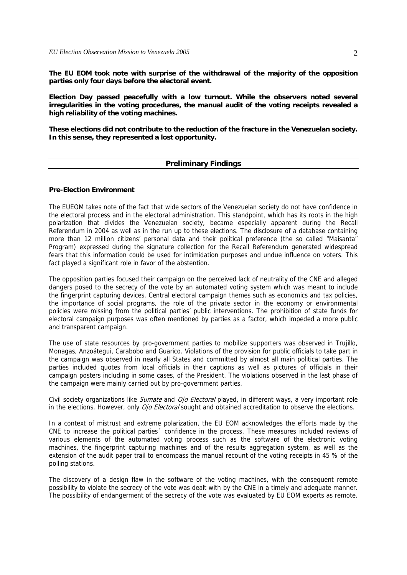**The EU EOM took note with surprise of the withdrawal of the majority of the opposition parties only four days before the electoral event.** 

**Election Day passed peacefully with a low turnout. While the observers noted several irregularities in the voting procedures, the manual audit of the voting receipts revealed a high reliability of the voting machines.** 

**These elections did not contribute to the reduction of the fracture in the Venezuelan society. In this sense, they represented a lost opportunity.** 

#### **Preliminary Findings**

### **Pre-Election Environment**

The EUEOM takes note of the fact that wide sectors of the Venezuelan society do not have confidence in the electoral process and in the electoral administration. This standpoint, which has its roots in the high polarization that divides the Venezuelan society, became especially apparent during the Recall Referendum in 2004 as well as in the run up to these elections. The disclosure of a database containing more than 12 million citizens' personal data and their political preference (the so called "Maisanta" Program) expressed during the signature collection for the Recall Referendum generated widespread fears that this information could be used for intimidation purposes and undue influence on voters. This fact played a significant role in favor of the abstention.

The opposition parties focused their campaign on the perceived lack of neutrality of the CNE and alleged dangers posed to the secrecy of the vote by an automated voting system which was meant to include the fingerprint capturing devices. Central electoral campaign themes such as economics and tax policies, the importance of social programs, the role of the private sector in the economy or environmental policies were missing from the political parties' public interventions. The prohibition of state funds for electoral campaign purposes was often mentioned by parties as a factor, which impeded a more public and transparent campaign.

The use of state resources by pro-government parties to mobilize supporters was observed in Trujillo, Monagas, Anzoátegui, Carabobo and Guarico. Violations of the provision for public officials to take part in the campaign was observed in nearly all States and committed by almost all main political parties. The parties included quotes from local officials in their captions as well as pictures of officials in their campaign posters including in some cases, of the President. The violations observed in the last phase of the campaign were mainly carried out by pro-government parties.

Civil society organizations like Sumate and Ojo Electoral played, in different ways, a very important role in the elections. However, only Ojo Electoral sought and obtained accreditation to observe the elections.

In a context of mistrust and extreme polarization, the EU EOM acknowledges the efforts made by the CNE to increase the political parties´ confidence in the process. These measures included reviews of various elements of the automated voting process such as the software of the electronic voting machines, the fingerprint capturing machines and of the results aggregation system, as well as the extension of the audit paper trail to encompass the manual recount of the voting receipts in 45 % of the polling stations.

The discovery of a design flaw in the software of the voting machines, with the consequent remote possibility to violate the secrecy of the vote was dealt with by the CNE in a timely and adequate manner. The possibility of endangerment of the secrecy of the vote was evaluated by EU EOM experts as remote.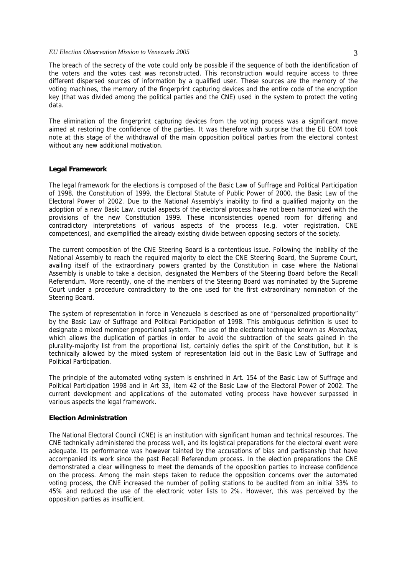The breach of the secrecy of the vote could only be possible if the sequence of both the identification of the voters and the votes cast was reconstructed. This reconstruction would require access to three different dispersed sources of information by a qualified user. These sources are the memory of the voting machines, the memory of the fingerprint capturing devices and the entire code of the encryption key (that was divided among the political parties and the CNE) used in the system to protect the voting data.

The elimination of the fingerprint capturing devices from the voting process was a significant move aimed at restoring the confidence of the parties. It was therefore with surprise that the EU EOM took note at this stage of the withdrawal of the main opposition political parties from the electoral contest without any new additional motivation.

#### **Legal Framework**

The legal framework for the elections is composed of the Basic Law of Suffrage and Political Participation of 1998, the Constitution of 1999, the Electoral Statute of Public Power of 2000, the Basic Law of the Electoral Power of 2002. Due to the National Assembly's inability to find a qualified majority on the adoption of a new Basic Law, crucial aspects of the electoral process have not been harmonized with the provisions of the new Constitution 1999. These inconsistencies opened room for differing and contradictory interpretations of various aspects of the process (e.g. voter registration, CNE competences), and exemplified the already existing divide between opposing sectors of the society.

The current composition of the CNE Steering Board is a contentious issue. Following the inability of the National Assembly to reach the required majority to elect the CNE Steering Board, the Supreme Court, availing itself of the extraordinary powers granted by the Constitution in case where the National Assembly is unable to take a decision, designated the Members of the Steering Board before the Recall Referendum. More recently, one of the members of the Steering Board was nominated by the Supreme Court under a procedure contradictory to the one used for the first extraordinary nomination of the Steering Board.

The system of representation in force in Venezuela is described as one of "personalized proportionality" by the Basic Law of Suffrage and Political Participation of 1998. This ambiguous definition is used to designate a mixed member proportional system. The use of the electoral technique known as Morochas, which allows the duplication of parties in order to avoid the subtraction of the seats gained in the plurality-majority list from the proportional list, certainly defies the spirit of the Constitution, but it is technically allowed by the mixed system of representation laid out in the Basic Law of Suffrage and Political Participation.

The principle of the automated voting system is enshrined in Art. 154 of the Basic Law of Suffrage and Political Participation 1998 and in Art 33, Item 42 of the Basic Law of the Electoral Power of 2002. The current development and applications of the automated voting process have however surpassed in various aspects the legal framework.

#### **Election Administration**

The National Electoral Council (CNE) is an institution with significant human and technical resources. The CNE technically administered the process well, and its logistical preparations for the electoral event were adequate. Its performance was however tainted by the accusations of bias and partisanship that have accompanied its work since the past Recall Referendum process. In the election preparations the CNE demonstrated a clear willingness to meet the demands of the opposition parties to increase confidence on the process. Among the main steps taken to reduce the opposition concerns over the automated voting process, the CNE increased the number of polling stations to be audited from an initial 33% to 45% and reduced the use of the electronic voter lists to 2%. However, this was perceived by the opposition parties as insufficient.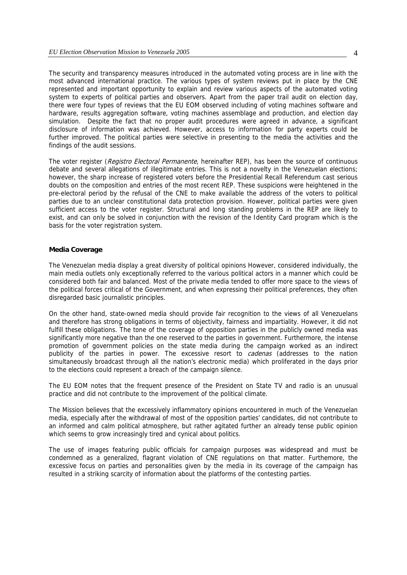The security and transparency measures introduced in the automated voting process are in line with the most advanced international practice. The various types of system reviews put in place by the CNE represented and important opportunity to explain and review various aspects of the automated voting system to experts of political parties and observers. Apart from the paper trail audit on election day, there were four types of reviews that the EU EOM observed including of voting machines software and hardware, results aggregation software, voting machines assemblage and production, and election day simulation. Despite the fact that no proper audit procedures were agreed in advance, a significant disclosure of information was achieved. However, access to information for party experts could be further improved. The political parties were selective in presenting to the media the activities and the findings of the audit sessions.

The voter register (Registro Electoral Permanente, hereinafter REP), has been the source of continuous debate and several allegations of illegitimate entries. This is not a novelty in the Venezuelan elections; however, the sharp increase of registered voters before the Presidential Recall Referendum cast serious doubts on the composition and entries of the most recent REP. These suspicions were heightened in the pre-electoral period by the refusal of the CNE to make available the address of the voters to political parties due to an unclear constitutional data protection provision. However, political parties were given sufficient access to the voter register. Structural and long standing problems in the REP are likely to exist, and can only be solved in conjunction with the revision of the Identity Card program which is the basis for the voter registration system.

#### **Media Coverage**

The Venezuelan media display a great diversity of political opinions However, considered individually, the main media outlets only exceptionally referred to the various political actors in a manner which could be considered both fair and balanced. Most of the private media tended to offer more space to the views of the political forces critical of the Government, and when expressing their political preferences, they often disregarded basic journalistic principles.

On the other hand, state-owned media should provide fair recognition to the views of all Venezuelans and therefore has strong obligations in terms of objectivity, fairness and impartiality. However, it did not fulfill these obligations. The tone of the coverage of opposition parties in the publicly owned media was significantly more negative than the one reserved to the parties in government. Furthermore, the intense promotion of government policies on the state media during the campaign worked as an indirect publicity of the parties in power. The excessive resort to cadenas (addresses to the nation simultaneously broadcast through all the nation's electronic media) which proliferated in the days prior to the elections could represent a breach of the campaign silence.

The EU EOM notes that the frequent presence of the President on State TV and radio is an unusual practice and did not contribute to the improvement of the political climate.

The Mission believes that the excessively inflammatory opinions encountered in much of the Venezuelan media, especially after the withdrawal of most of the opposition parties' candidates, did not contribute to an informed and calm political atmosphere, but rather agitated further an already tense public opinion which seems to grow increasingly tired and cynical about politics.

The use of images featuring public officials for campaign purposes was widespread and must be condemned as a generalized, flagrant violation of CNE regulations on that matter. Furthemore, the excessive focus on parties and personalities given by the media in its coverage of the campaign has resulted in a striking scarcity of information about the platforms of the contesting parties.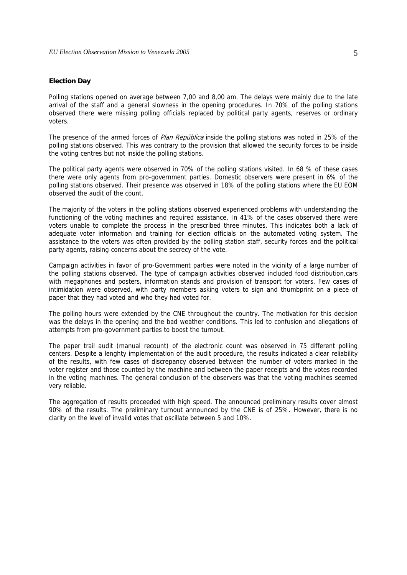### **Election Day**

Polling stations opened on average between 7,00 and 8,00 am. The delays were mainly due to the late arrival of the staff and a general slowness in the opening procedures. In 70% of the polling stations observed there were missing polling officials replaced by political party agents, reserves or ordinary voters.

The presence of the armed forces of Plan República inside the polling stations was noted in 25% of the polling stations observed. This was contrary to the provision that allowed the security forces to be inside the voting centres but not inside the polling stations.

The political party agents were observed in 70% of the polling stations visited. In 68 % of these cases there were only agents from pro-government parties. Domestic observers were present in 6% of the polling stations observed. Their presence was observed in 18% of the polling stations where the EU EOM observed the audit of the count.

The majority of the voters in the polling stations observed experienced problems with understanding the functioning of the voting machines and required assistance. In 41% of the cases observed there were voters unable to complete the process in the prescribed three minutes. This indicates both a lack of adequate voter information and training for election officials on the automated voting system. The assistance to the voters was often provided by the polling station staff, security forces and the political party agents, raising concerns about the secrecy of the vote.

Campaign activities in favor of pro-Government parties were noted in the vicinity of a large number of the polling stations observed. The type of campaign activities observed included food distribution,cars with megaphones and posters, information stands and provision of transport for voters. Few cases of intimidation were observed, with party members asking voters to sign and thumbprint on a piece of paper that they had voted and who they had voted for.

The polling hours were extended by the CNE throughout the country. The motivation for this decision was the delays in the opening and the bad weather conditions. This led to confusion and allegations of attempts from pro-government parties to boost the turnout.

The paper trail audit (manual recount) of the electronic count was observed in 75 different polling centers. Despite a lenghty implementation of the audit procedure, the results indicated a clear reliability of the results, with few cases of discrepancy observed between the number of voters marked in the voter register and those counted by the machine and between the paper receipts and the votes recorded in the voting machines. The general conclusion of the observers was that the voting machines seemed very reliable.

The aggregation of results proceeded with high speed. The announced preliminary results cover almost 90% of the results. The preliminary turnout announced by the CNE is of 25%. However, there is no clarity on the level of invalid votes that oscillate between 5 and 10%.